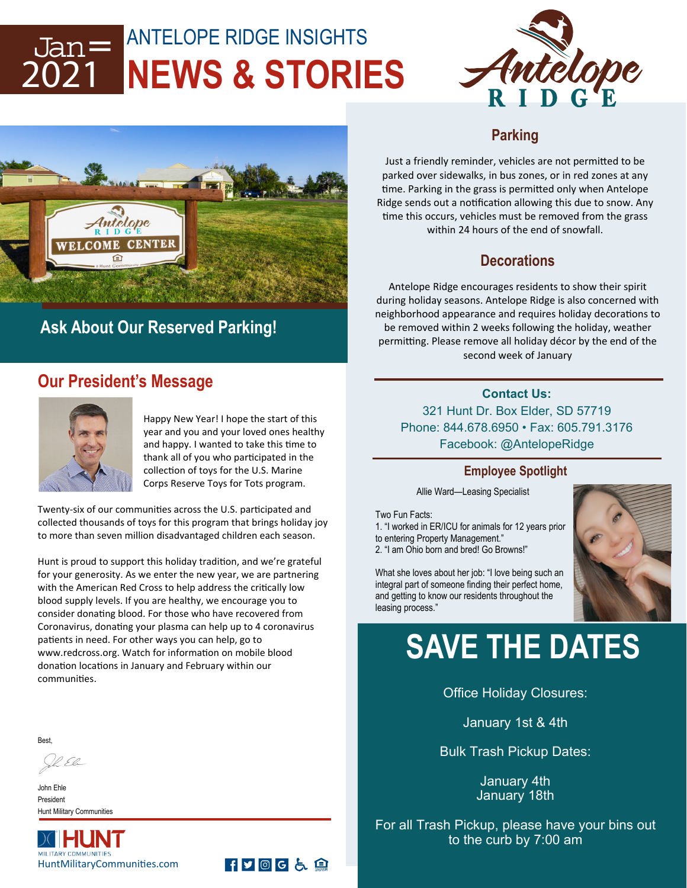### ANTELOPE RIDGE INSIGHTS **NEWS & STORIES**  Jan= 2021





### **Ask About Our Reserved Parking!**

### **Our President's Message**



Happy New Year! I hope the start of this year and you and your loved ones healthy and happy. I wanted to take this time to thank all of you who participated in the collection of toys for the U.S. Marine Corps Reserve Toys for Tots program.

**HVOGL自** 

Twenty-six of our communities across the U.S. participated and collected thousands of toys for this program that brings holiday joy to more than seven million disadvantaged children each season.

Hunt is proud to support this holiday tradition, and we're grateful for your generosity. As we enter the new year, we are partnering with the American Red Cross to help address the critically low blood supply levels. If you are healthy, we encourage you to consider donating blood. For those who have recovered from Coronavirus, donating your plasma can help up to 4 coronavirus patients in need. For other ways you can help, go to www.redcross.org. Watch for information on mobile blood donation locations in January and February within our communities.

Best,

Il El

John Ehle President Hunt Military Communities



#### **Parking**

Just a friendly reminder, vehicles are not permitted to be parked over sidewalks, in bus zones, or in red zones at any time. Parking in the grass is permitted only when Antelope Ridge sends out a notification allowing this due to snow. Any time this occurs, vehicles must be removed from the grass within 24 hours of the end of snowfall.

#### **Decorations**

Antelope Ridge encourages residents to show their spirit during holiday seasons. Antelope Ridge is also concerned with neighborhood appearance and requires holiday decorations to be removed within 2 weeks following the holiday, weather permitting. Please remove all holiday décor by the end of the second week of January

#### **Contact Us:**

321 Hunt Dr. Box Elder, SD 57719 Phone: 844.678.6950 • Fax: 605.791.3176 Facebook: @AntelopeRidge

#### **Employee Spotlight**

Allie Ward—Leasing Specialist

Two Fun Facts:

1. "I worked in ER/ICU for animals for 12 years prior to entering Property Management." 2. "I am Ohio born and bred! Go Browns!"

What she loves about her job: "I love being such an integral part of someone finding their perfect home, and getting to know our residents throughout the leasing process."



## **SAVE THE DATES**

Office Holiday Closures:

January 1st & 4th

Bulk Trash Pickup Dates:

January 4th January 18th

For all Trash Pickup, please have your bins out to the curb by 7:00 am